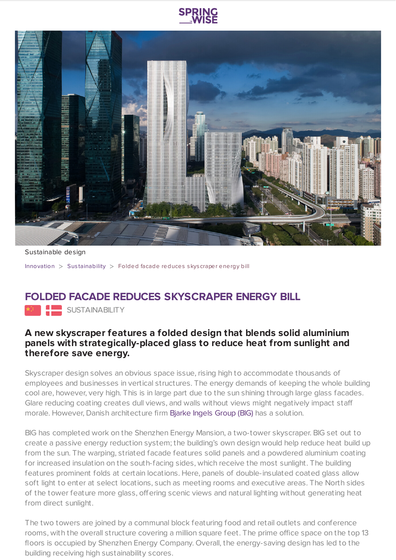



Sustainable design

[Innovation](https://www.springwise.com/search?type=innovation) > Sus[tainability](https://www.springwise.com/search?type=innovation§or=sustainability) > Folded facade reduces skyscraper energy bill

## **FOLDED FACADE REDUCES SKYSCRAPER ENERGY BILL**

**SUSTAINABILITY** 

## **A new skyscraper features a folded design that blends solid aluminium panels with strategically-placed glass to reduce heat from sunlight and therefore save energy.**

Skyscraper design solves an obvious space issue, rising high to accommodate thousands of employees and businesses in vertical structures. The energy demands of keeping the whole building cool are, however, very high. This is in large part due to the sun shining through large glass facades. Glare reducing coating creates dull views, and walls without views might negatively impact staff morale. However, Danish architecture firm Bjarke Ingels [Group](https://m.big.dk/) (BIG) has a solution.

BIG has completed work on the Shenzhen Energy Mansion, a two-tower skyscraper. BIG set out to create a passive energy reduction system; the building's own design would help reduce heat build up from the sun. The warping, striated facade features solid panels and a powdered aluminium coating for increased insulation on the south-facing sides, which receive the most sunlight. The building features prominent folds at certain locations. Here, panels of double-insulated coated glass allow soft light to enter at select locations, such as meeting rooms and executive areas. The North sides of the tower feature more glass, offering scenic views and natural lighting without generating heat from direct sunlight.

The two towers are joined by a communal block featuring food and retail outlets and conference rooms, with the overall structure covering a million square feet. The prime office space on the top 13 floors is occupied by Shenzhen Energy Company. Overall, the energy-saving design has led to the building receiving high sustainability scores.